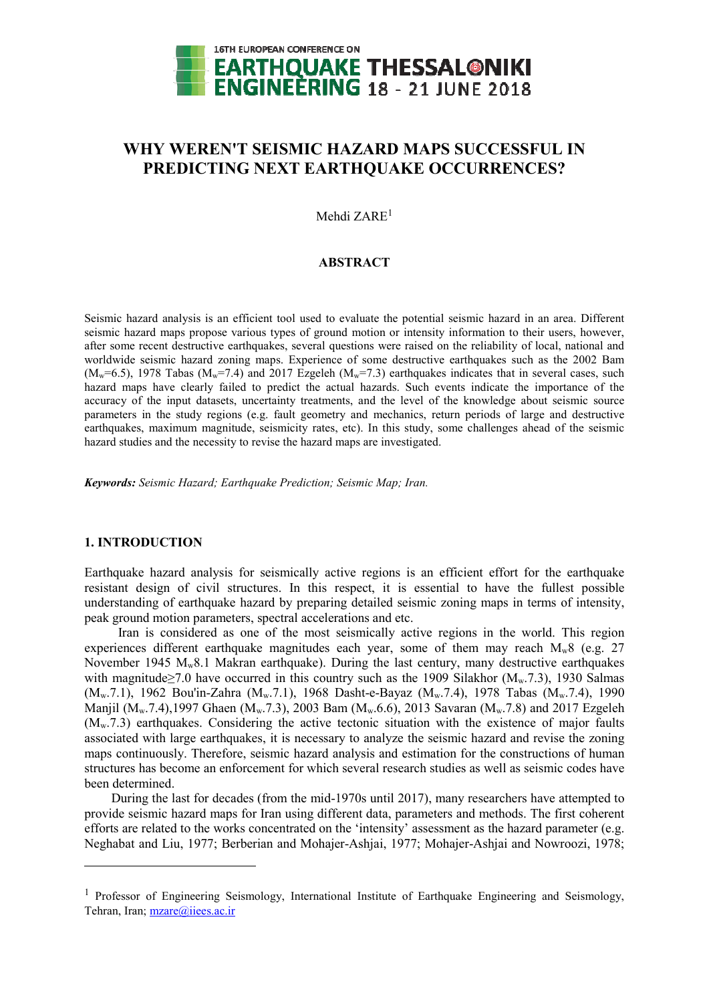

# **WHY WEREN'T SEISMIC HAZARD MAPS SUCCESSFUL IN PREDICTING NEXT EARTHQUAKE OCCURRENCES?**

Mehdi ZARE<sup>1</sup>

#### **ABSTRACT**

Seismic hazard analysis is an efficient tool used to evaluate the potential seismic hazard in an area. Different seismic hazard maps propose various types of ground motion or intensity information to their users, however, after some recent destructive earthquakes, several questions were raised on the reliability of local, national and worldwide seismic hazard zoning maps. Experience of some destructive earthquakes such as the 2002 Bam  $(M_w=6.5)$ , 1978 Tabas  $(M_w=7.4)$  and 2017 Ezgeleh  $(M_w=7.3)$  earthquakes indicates that in several cases, such hazard maps have clearly failed to predict the actual hazards. Such events indicate the importance of the accuracy of the input datasets, uncertainty treatments, and the level of the knowledge about seismic source parameters in the study regions (e.g. fault geometry and mechanics, return periods of large and destructive earthquakes, maximum magnitude, seismicity rates, etc). In this study, some challenges ahead of the seismic hazard studies and the necessity to revise the hazard maps are investigated.

*Keywords: Seismic Hazard; Earthquake Prediction; Seismic Map; Iran.* 

### **1. INTRODUCTION**

-

Earthquake hazard analysis for seismically active regions is an efficient effort for the earthquake resistant design of civil structures. In this respect, it is essential to have the fullest possible understanding of earthquake hazard by preparing detailed seismic zoning maps in terms of intensity, peak ground motion parameters, spectral accelerations and etc.

Iran is considered as one of the most seismically active regions in the world. This region experiences different earthquake magnitudes each year, some of them may reach  $M_w8$  (e.g. 27) November 1945 Mw8.1 Makran earthquake). During the last century, many destructive earthquakes with magnitude $\geq$ 7.0 have occurred in this country such as the 1909 Silakhor (M<sub>w</sub>.7.3), 1930 Salmas (M<sub>w</sub>.7.1), 1962 Bou'in-Zahra (M<sub>w</sub>.7.1), 1968 Dasht-e-Bayaz (M<sub>w</sub>.7.4), 1978 Tabas (M<sub>w</sub>.7.4), 1990 Manjil (M<sub>w</sub>.7.4),1997 Ghaen (M<sub>w</sub>.7.3), 2003 Bam (M<sub>w</sub>.6.6), 2013 Savaran (M<sub>w</sub>.7.8) and 2017 Ezgeleh  $(M_w, 7.3)$  earthquakes. Considering the active tectonic situation with the existence of major faults associated with large earthquakes, it is necessary to analyze the seismic hazard and revise the zoning maps continuously. Therefore, seismic hazard analysis and estimation for the constructions of human structures has become an enforcement for which several research studies as well as seismic codes have been determined.

During the last for decades (from the mid-1970s until 2017), many researchers have attempted to provide seismic hazard maps for Iran using different data, parameters and methods. The first coherent efforts are related to the works concentrated on the 'intensity' assessment as the hazard parameter (e.g. Neghabat and Liu, 1977; Berberian and Mohajer-Ashjai, 1977; Mohajer-Ashjai and Nowroozi, 1978;

<sup>&</sup>lt;sup>1</sup> Professor of Engineering Seismology, International Institute of Earthquake Engineering and Seismology, Tehran, Iran; mzare@iiees.ac.ir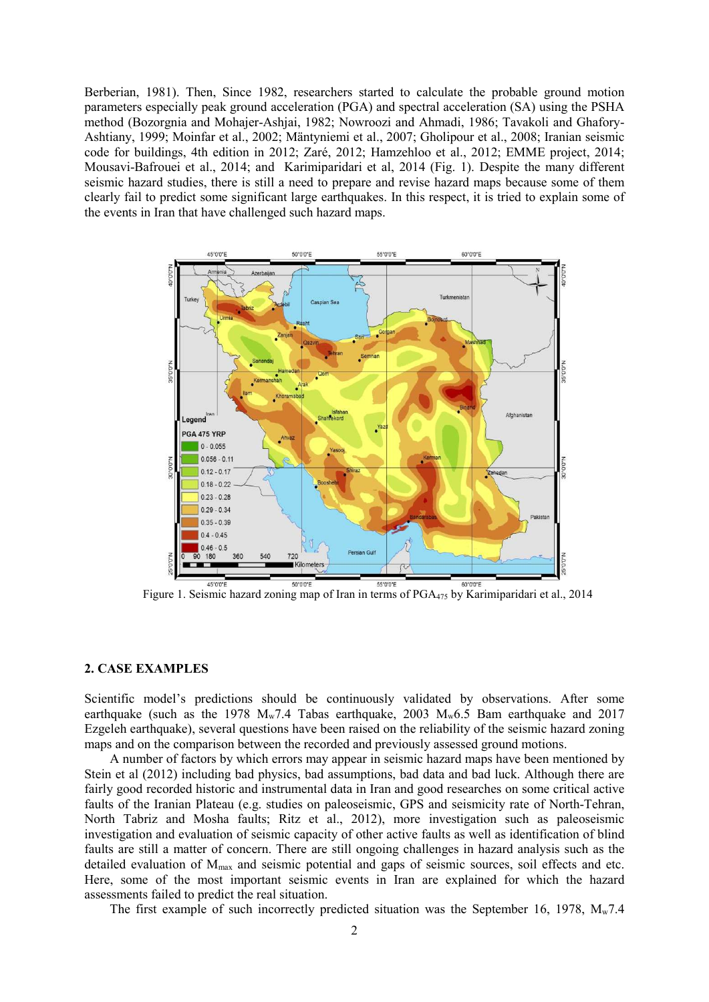Berberian, 1981). Then, Since 1982, researchers started to calculate the probable ground motion parameters especially peak ground acceleration (PGA) and spectral acceleration (SA) using the PSHA method (Bozorgnia and Mohajer-Ashjai, 1982; Nowroozi and Ahmadi, 1986; Tavakoli and Ghafory-Ashtiany, 1999; Moinfar et al., 2002; Mäntyniemi et al., 2007; Gholipour et al., 2008; Iranian seismic code for buildings, 4th edition in 2012; Zaré, 2012; Hamzehloo et al., 2012; EMME project, 2014; Mousavi-Bafrouei et al., 2014; and Karimiparidari et al, 2014 (Fig. 1). Despite the many different seismic hazard studies, there is still a need to prepare and revise hazard maps because some of them clearly fail to predict some significant large earthquakes. In this respect, it is tried to explain some of the events in Iran that have challenged such hazard maps.



Figure 1. Seismic hazard zoning map of Iran in terms of PGA475 by Karimiparidari et al., 2014

### **2. CASE EXAMPLES**

Scientific model's predictions should be continuously validated by observations. After some earthquake (such as the 1978  $M_w$ 7.4 Tabas earthquake, 2003  $M_w$ 6.5 Bam earthquake and 2017 Ezgeleh earthquake), several questions have been raised on the reliability of the seismic hazard zoning maps and on the comparison between the recorded and previously assessed ground motions.

A number of factors by which errors may appear in seismic hazard maps have been mentioned by Stein et al (2012) including bad physics, bad assumptions, bad data and bad luck. Although there are fairly good recorded historic and instrumental data in Iran and good researches on some critical active faults of the Iranian Plateau (e.g. studies on paleoseismic, GPS and seismicity rate of North-Tehran, North Tabriz and Mosha faults; Ritz et al., 2012), more investigation such as paleoseismic investigation and evaluation of seismic capacity of other active faults as well as identification of blind faults are still a matter of concern. There are still ongoing challenges in hazard analysis such as the detailed evaluation of Mmax and seismic potential and gaps of seismic sources, soil effects and etc. Here, some of the most important seismic events in Iran are explained for which the hazard assessments failed to predict the real situation.

The first example of such incorrectly predicted situation was the September 16, 1978,  $M_w$ 7.4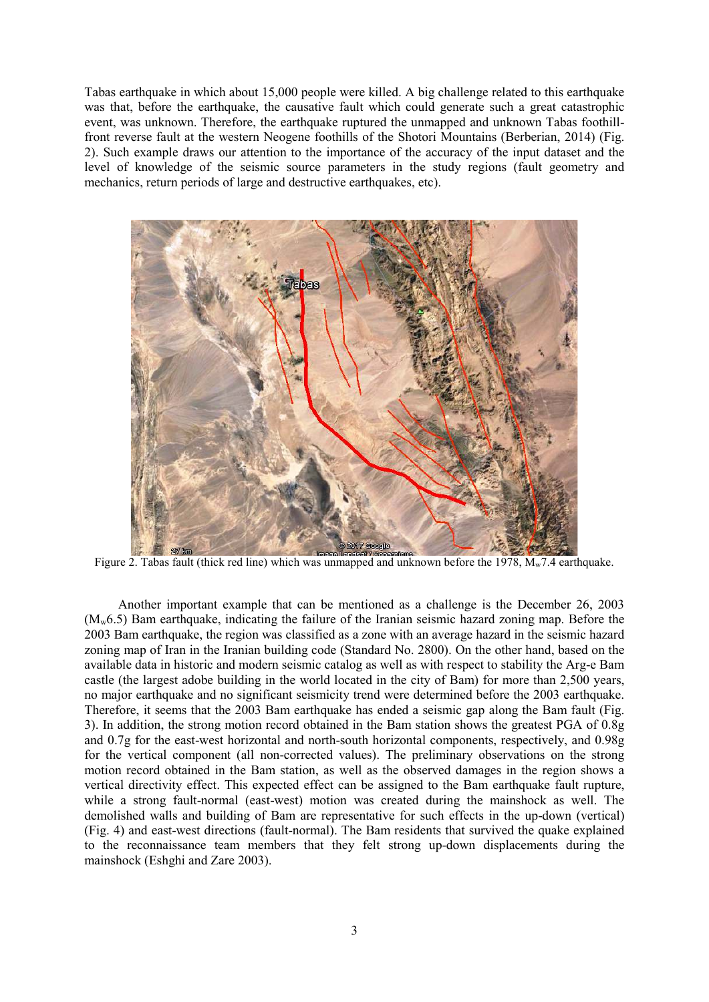Tabas earthquake in which about 15,000 people were killed. A big challenge related to this earthquake was that, before the earthquake, the causative fault which could generate such a great catastrophic event, was unknown. Therefore, the earthquake ruptured the unmapped and unknown Tabas foothillfront reverse fault at the western Neogene foothills of the Shotori Mountains (Berberian, 2014) (Fig. 2). Such example draws our attention to the importance of the accuracy of the input dataset and the level of knowledge of the seismic source parameters in the study regions (fault geometry and mechanics, return periods of large and destructive earthquakes, etc).



Figure 2. Tabas fault (thick red line) which was unmapped and unknown before the 1978,  $M_w$ 7.4 earthquake.

Another important example that can be mentioned as a challenge is the December 26, 2003  $(M_w 6.5)$  Bam earthquake, indicating the failure of the Iranian seismic hazard zoning map. Before the 2003 Bam earthquake, the region was classified as a zone with an average hazard in the seismic hazard zoning map of Iran in the Iranian building code (Standard No. 2800). On the other hand, based on the available data in historic and modern seismic catalog as well as with respect to stability the Arg-e Bam castle (the largest adobe building in the world located in the city of Bam) for more than 2,500 years, no major earthquake and no significant seismicity trend were determined before the 2003 earthquake. Therefore, it seems that the 2003 Bam earthquake has ended a seismic gap along the Bam fault (Fig. 3). In addition, the strong motion record obtained in the Bam station shows the greatest PGA of 0.8g and 0.7g for the east-west horizontal and north-south horizontal components, respectively, and 0.98g for the vertical component (all non-corrected values). The preliminary observations on the strong motion record obtained in the Bam station, as well as the observed damages in the region shows a vertical directivity effect. This expected effect can be assigned to the Bam earthquake fault rupture, while a strong fault-normal (east-west) motion was created during the mainshock as well. The demolished walls and building of Bam are representative for such effects in the up-down (vertical) (Fig. 4) and east-west directions (fault-normal). The Bam residents that survived the quake explained to the reconnaissance team members that they felt strong up-down displacements during the mainshock (Eshghi and Zare 2003).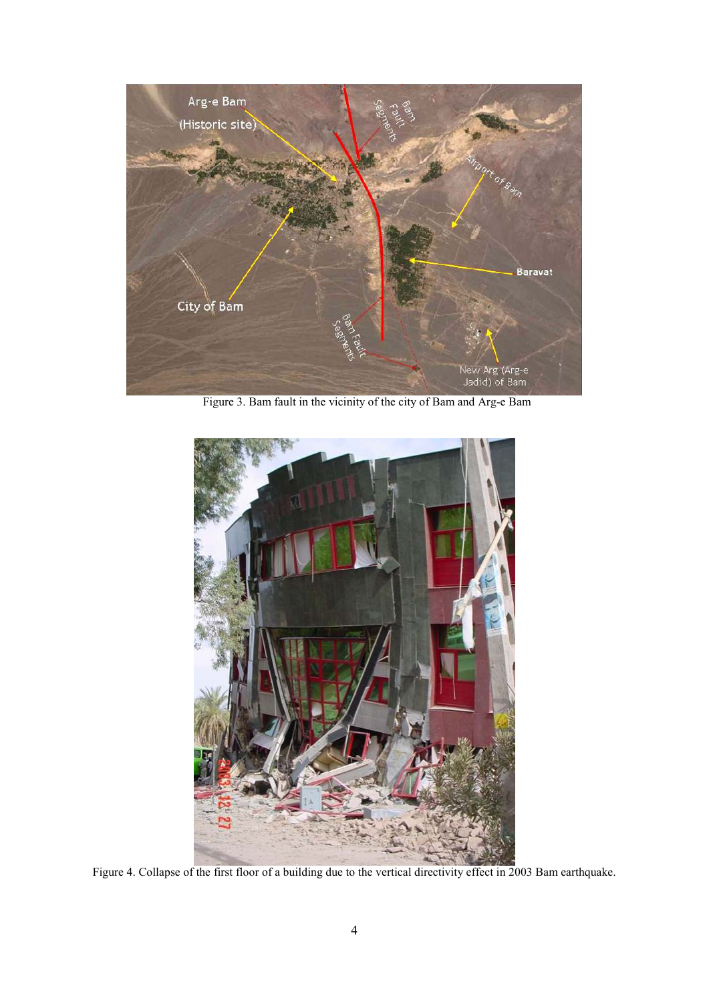

Figure 3. Bam fault in the vicinity of the city of Bam and Arg-e Bam



Figure 4. Collapse of the first floor of a building due to the vertical directivity effect in 2003 Bam earthquake.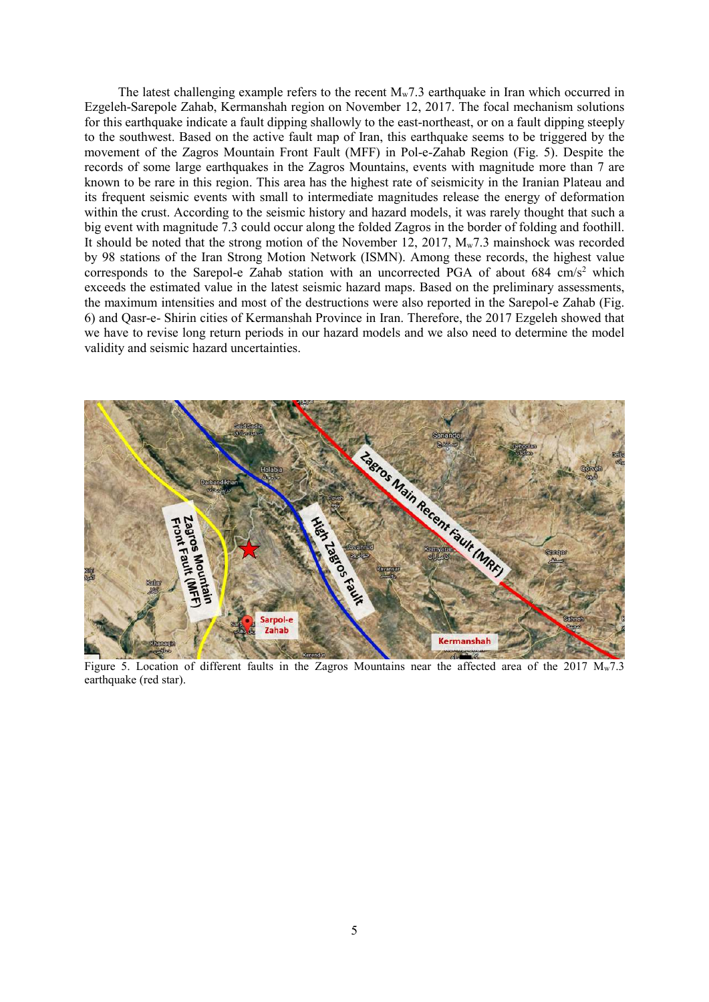The latest challenging example refers to the recent  $M_w$ 7.3 earthquake in Iran which occurred in Ezgeleh-Sarepole Zahab, Kermanshah region on November 12, 2017. The focal mechanism solutions for this earthquake indicate a fault dipping shallowly to the east-northeast, or on a fault dipping steeply to the southwest. Based on the active fault map of Iran, this earthquake seems to be triggered by the movement of the Zagros Mountain Front Fault (MFF) in Pol-e-Zahab Region (Fig. 5). Despite the records of some large earthquakes in the Zagros Mountains, events with magnitude more than 7 are known to be rare in this region. This area has the highest rate of seismicity in the Iranian Plateau and its frequent seismic events with small to intermediate magnitudes release the energy of deformation within the crust. According to the seismic history and hazard models, it was rarely thought that such a big event with magnitude 7.3 could occur along the folded Zagros in the border of folding and foothill. It should be noted that the strong motion of the November 12, 2017, Mw7.3 mainshock was recorded by 98 stations of the Iran Strong Motion Network (ISMN). Among these records, the highest value corresponds to the Sarepol-e Zahab station with an uncorrected PGA of about  $684 \text{ cm/s}^2$  which exceeds the estimated value in the latest seismic hazard maps. Based on the preliminary assessments, the maximum intensities and most of the destructions were also reported in the Sarepol-e Zahab (Fig. 6) and Qasr-e- Shirin cities of Kermanshah Province in Iran. Therefore, the 2017 Ezgeleh showed that we have to revise long return periods in our hazard models and we also need to determine the model validity and seismic hazard uncertainties.



Figure 5. Location of different faults in the Zagros Mountains near the affected area of the 2017  $M_w$ 7.3 earthquake (red star).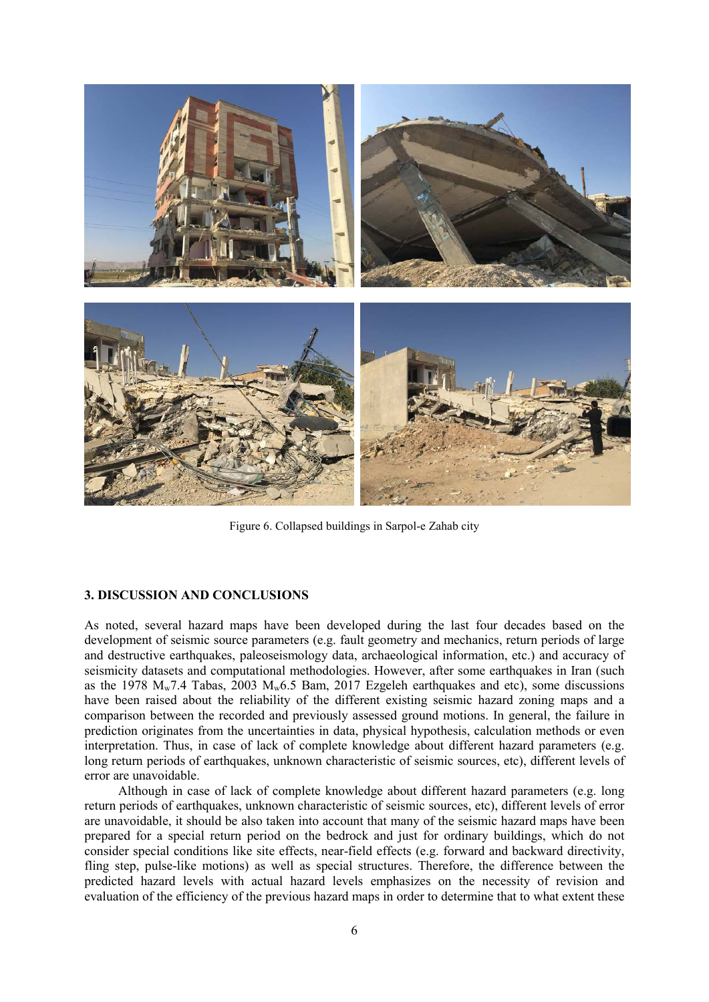

Figure 6. Collapsed buildings in Sarpol-e Zahab city

## **3. DISCUSSION AND CONCLUSIONS**

As noted, several hazard maps have been developed during the last four decades based on the development of seismic source parameters (e.g. fault geometry and mechanics, return periods of large and destructive earthquakes, paleoseismology data, archaeological information, etc.) and accuracy of seismicity datasets and computational methodologies. However, after some earthquakes in Iran (such as the 1978  $M_w$ 7.4 Tabas, 2003  $M_w$ 6.5 Bam, 2017 Ezgeleh earthquakes and etc), some discussions have been raised about the reliability of the different existing seismic hazard zoning maps and a comparison between the recorded and previously assessed ground motions. In general, the failure in prediction originates from the uncertainties in data, physical hypothesis, calculation methods or even interpretation. Thus, in case of lack of complete knowledge about different hazard parameters (e.g. long return periods of earthquakes, unknown characteristic of seismic sources, etc), different levels of error are unavoidable.

Although in case of lack of complete knowledge about different hazard parameters (e.g. long return periods of earthquakes, unknown characteristic of seismic sources, etc), different levels of error are unavoidable, it should be also taken into account that many of the seismic hazard maps have been prepared for a special return period on the bedrock and just for ordinary buildings, which do not consider special conditions like site effects, near-field effects (e.g. forward and backward directivity, fling step, pulse-like motions) as well as special structures. Therefore, the difference between the predicted hazard levels with actual hazard levels emphasizes on the necessity of revision and evaluation of the efficiency of the previous hazard maps in order to determine that to what extent these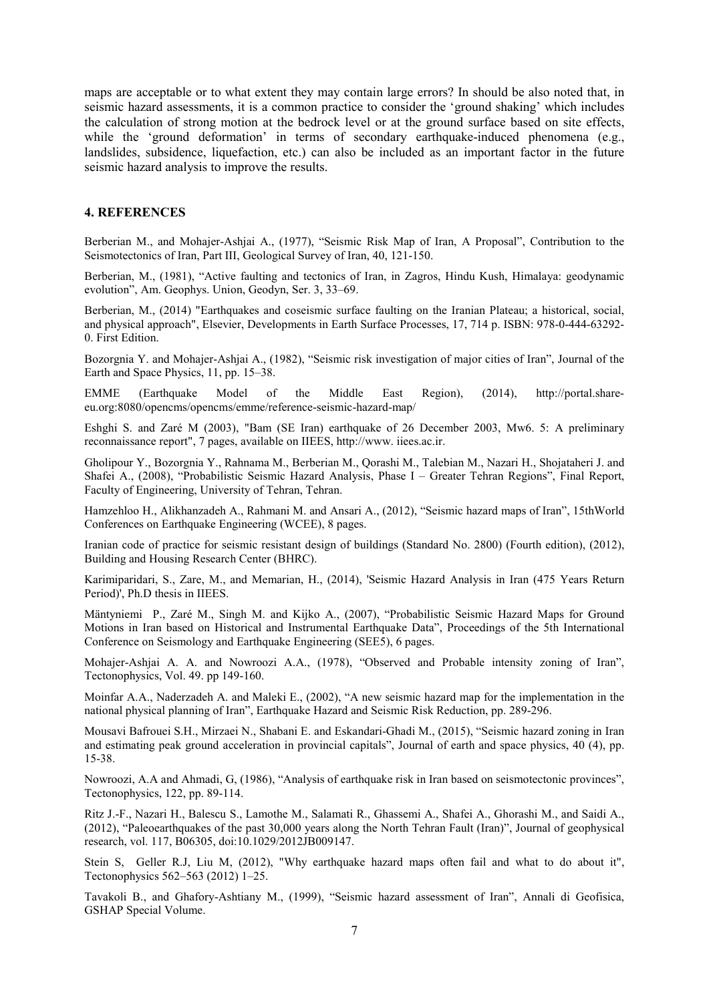maps are acceptable or to what extent they may contain large errors? In should be also noted that, in seismic hazard assessments, it is a common practice to consider the 'ground shaking' which includes the calculation of strong motion at the bedrock level or at the ground surface based on site effects, while the 'ground deformation' in terms of secondary earthquake-induced phenomena (e.g., landslides, subsidence, liquefaction, etc.) can also be included as an important factor in the future seismic hazard analysis to improve the results.

#### **4. REFERENCES**

Berberian M., and Mohajer-Ashjai A., (1977), "Seismic Risk Map of Iran, A Proposal", Contribution to the Seismotectonics of Iran, Part III, Geological Survey of Iran, 40, 121-150.

Berberian, M., (1981), "Active faulting and tectonics of Iran, in Zagros, Hindu Kush, Himalaya: geodynamic evolution", Am. Geophys. Union, Geodyn, Ser. 3, 33–69.

Berberian, M., (2014) "Earthquakes and coseismic surface faulting on the Iranian Plateau; a historical, social, and physical approach", Elsevier, Developments in Earth Surface Processes, 17, 714 p. ISBN: 978-0-444-63292- 0. First Edition.

Bozorgnia Y. and Mohajer-Ashjai A., (1982), "Seismic risk investigation of major cities of Iran", Journal of the Earth and Space Physics, 11, pp. 15–38.

EMME (Earthquake Model of the Middle East Region), (2014), http://portal.shareeu.org:8080/opencms/opencms/emme/reference-seismic-hazard-map/

Eshghi S. and Zaré M (2003), "Bam (SE Iran) earthquake of 26 December 2003, Mw6. 5: A preliminary reconnaissance report", 7 pages, available on IIEES, http://www. iiees.ac.ir.

Gholipour Y., Bozorgnia Y., Rahnama M., Berberian M., Qorashi M., Talebian M., Nazari H., Shojataheri J. and Shafei A., (2008), "Probabilistic Seismic Hazard Analysis, Phase I – Greater Tehran Regions", Final Report, Faculty of Engineering, University of Tehran, Tehran.

Hamzehloo H., Alikhanzadeh A., Rahmani M. and Ansari A., (2012), "Seismic hazard maps of Iran", 15thWorld Conferences on Earthquake Engineering (WCEE), 8 pages.

Iranian code of practice for seismic resistant design of buildings (Standard No. 2800) (Fourth edition), (2012), Building and Housing Research Center (BHRC).

Karimiparidari, S., Zare, M., and Memarian, H., (2014), 'Seismic Hazard Analysis in Iran (475 Years Return Period)', Ph.D thesis in IIEES.

Mäntyniemi P., Zaré M., Singh M. and Kijko A., (2007), "Probabilistic Seismic Hazard Maps for Ground Motions in Iran based on Historical and Instrumental Earthquake Data", Proceedings of the 5th International Conference on Seismology and Earthquake Engineering (SEE5), 6 pages.

Mohajer-Ashjai A. A. and Nowroozi A.A., (1978), "Observed and Probable intensity zoning of Iran", Tectonophysics, Vol. 49. pp 149-160.

Moinfar A.A., Naderzadeh A. and Maleki E., (2002), "A new seismic hazard map for the implementation in the national physical planning of Iran", Earthquake Hazard and Seismic Risk Reduction, pp. 289-296.

Mousavi Bafrouei S.H., Mirzaei N., Shabani E. and Eskandari-Ghadi M., (2015), "Seismic hazard zoning in Iran and estimating peak ground acceleration in provincial capitals", Journal of earth and space physics, 40 (4), pp. 15-38.

Nowroozi, A.A and Ahmadi, G, (1986), "Analysis of earthquake risk in Iran based on seismotectonic provinces", Tectonophysics, 122, pp. 89-114.

Ritz J.-F., Nazari H., Balescu S., Lamothe M., Salamati R., Ghassemi A., Shafei A., Ghorashi M., and Saidi A., (2012), "Paleoearthquakes of the past 30,000 years along the North Tehran Fault (Iran)", Journal of geophysical research, vol. 117, B06305, doi:10.1029/2012JB009147.

Stein S, Geller R.J, Liu M, (2012), "Why earthquake hazard maps often fail and what to do about it", Tectonophysics 562–563 (2012) 1–25.

Tavakoli B., and Ghafory-Ashtiany M., (1999), "Seismic hazard assessment of Iran", Annali di Geofisica, GSHAP Special Volume.